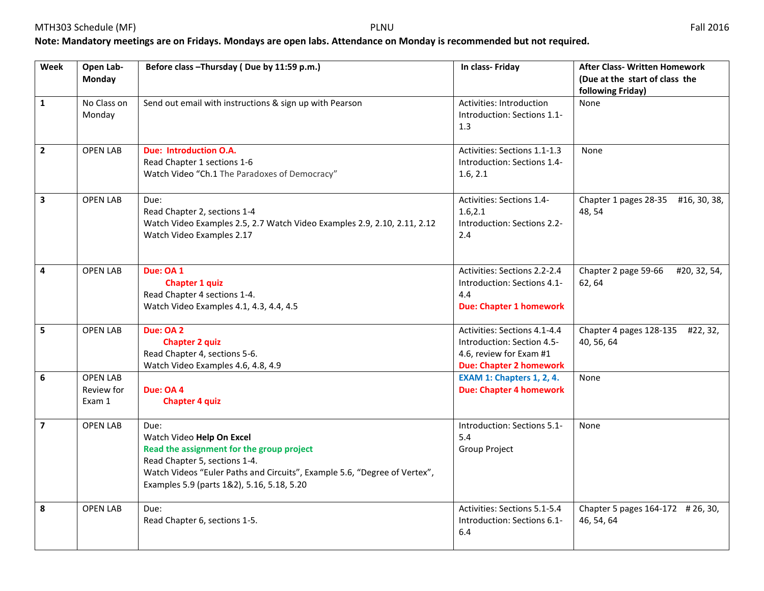## **Note: Mandatory meetings are on Fridays. Mondays are open labs. Attendance on Monday is recommended but not required.**

| Week                    | Open Lab-<br>Monday                     | Before class - Thursday (Due by 11:59 p.m.)                                                                                                                                                                                                | In class- Friday                                                                                                        | <b>After Class- Written Homework</b><br>(Due at the start of class the |
|-------------------------|-----------------------------------------|--------------------------------------------------------------------------------------------------------------------------------------------------------------------------------------------------------------------------------------------|-------------------------------------------------------------------------------------------------------------------------|------------------------------------------------------------------------|
| $\mathbf{1}$            | No Class on<br>Monday                   | Send out email with instructions & sign up with Pearson                                                                                                                                                                                    | Activities: Introduction<br>Introduction: Sections 1.1-<br>1.3                                                          | following Friday)<br>None                                              |
| $\mathbf{2}$            | <b>OPEN LAB</b>                         | <b>Due: Introduction O.A.</b><br>Read Chapter 1 sections 1-6<br>Watch Video "Ch.1 The Paradoxes of Democracy"                                                                                                                              | Activities: Sections 1.1-1.3<br>Introduction: Sections 1.4-<br>1.6, 2.1                                                 | None                                                                   |
| $\mathbf{3}$            | <b>OPEN LAB</b>                         | Due:<br>Read Chapter 2, sections 1-4<br>Watch Video Examples 2.5, 2.7 Watch Video Examples 2.9, 2.10, 2.11, 2.12<br>Watch Video Examples 2.17                                                                                              | Activities: Sections 1.4-<br>1.6, 2.1<br>Introduction: Sections 2.2-<br>2.4                                             | Chapter 1 pages 28-35<br>#16, 30, 38,<br>48, 54                        |
| 4                       | <b>OPEN LAB</b>                         | Due: OA 1<br><b>Chapter 1 quiz</b><br>Read Chapter 4 sections 1-4.<br>Watch Video Examples 4.1, 4.3, 4.4, 4.5                                                                                                                              | Activities: Sections 2.2-2.4<br>Introduction: Sections 4.1-<br>4.4<br><b>Due: Chapter 1 homework</b>                    | Chapter 2 page 59-66<br>#20, 32, 54,<br>62, 64                         |
| 5                       | <b>OPEN LAB</b>                         | Due: OA 2<br><b>Chapter 2 quiz</b><br>Read Chapter 4, sections 5-6.<br>Watch Video Examples 4.6, 4.8, 4.9                                                                                                                                  | Activities: Sections 4.1-4.4<br>Introduction: Section 4.5-<br>4.6, review for Exam #1<br><b>Due: Chapter 2 homework</b> | Chapter 4 pages 128-135 #22, 32,<br>40, 56, 64                         |
| 6                       | <b>OPEN LAB</b><br>Review for<br>Exam 1 | Due: OA 4<br><b>Chapter 4 quiz</b>                                                                                                                                                                                                         | <b>EXAM 1: Chapters 1, 2, 4.</b><br><b>Due: Chapter 4 homework</b>                                                      | None                                                                   |
| $\overline{\mathbf{z}}$ | <b>OPEN LAB</b>                         | Due:<br>Watch Video Help On Excel<br>Read the assignment for the group project<br>Read Chapter 5, sections 1-4.<br>Watch Videos "Euler Paths and Circuits", Example 5.6, "Degree of Vertex",<br>Examples 5.9 (parts 1&2), 5.16, 5.18, 5.20 | Introduction: Sections 5.1-<br>5.4<br>Group Project                                                                     | None                                                                   |
| 8                       | <b>OPEN LAB</b>                         | Due:<br>Read Chapter 6, sections 1-5.                                                                                                                                                                                                      | Activities: Sections 5.1-5.4<br>Introduction: Sections 6.1-<br>6.4                                                      | Chapter 5 pages 164-172 # 26, 30,<br>46, 54, 64                        |